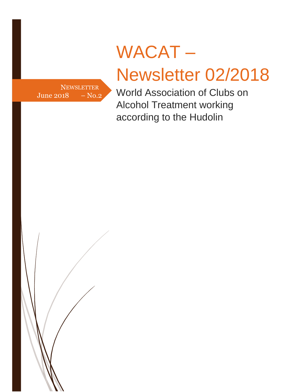**NEWSLETTER** June 2018 – No.2

2 2

# WACAT –

## Newsletter 02/2018

World Association of Clubs on Alcohol Treatment working according to the Hudolin

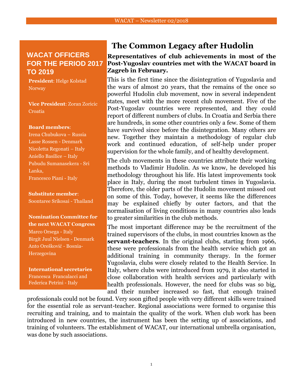#### **WACAT OFFICERS FOR THE PERIOD 2017 TO 2019**

**President**: Helge Kolstad **Norway** 

**Vice President**: Zoran Zoricic Croatia

#### **Board members**:

Irena Chubukova – Russia Lasse Rossen - Denmark Nicoletta Regonati – Italy Aniello Basilice – Italy Pubudu Sumanasekera - Sri Lanka, Francesco Piani - Italy

**Substitute member**:

Soontaree Srikosai - Thailand

#### **Nomination Committee for the next WACAT Congress**

Marco Orsega - Italy Birgit Juul Nielsen - Denmark Anto Orešković - Bosnia-Herzegovina

**International secretaries** Francesca Francalacci and Federica Petrini - Italy

#### **The Common Legacy after Hudolin**

#### **Representatives of club achievements in most of the Post-Yugoslav countries met with the WACAT board in Zagreb in February.**

This is the first time since the disintegration of Yugoslavia and the wars of almost 20 years, that the remains of the once so powerful Hudolin club movement, now in several independent states, meet with the more recent club movement. Five of the Post-Yugoslav countries were represented, and they could report of different numbers of clubs. In Croatia and Serbia there are hundreds, in some other countries only a few. Some of them have survived since before the disintegration. Many others are new. Together they maintain a methodology of regular club work and continued education, of self-help under proper supervision for the whole family, and of healthy development.

The club movements in these countries attribute their working methods to Vladimir Hudolin. As we know, he developed his methodology throughout his life. His latest improvements took place in Italy, during the most turbulent times in Yugoslavia. Therefore, the older parts of the Hudolin movement missed out on some of this. Today, however, it seems like the differences may be explained chiefly by outer factors, and that the normalisation of living conditions in many countries also leads to greater similarities in the club methods.

The most important difference may be the recruitment of the trained supervisors of the clubs, in most countries known as the **servant-teachers**. In the original clubs, starting from 1966, these were professionals from the health service which got an additional training in community therapy. In the former Yugoslavia, clubs were closely related to the Health Service. In Italy, where clubs were introduced from 1979, it also started in close collaboration with health services and particularly with health professionals. However, the need for clubs was so big, and their number increased so fast, that enough trained

professionals could not be found. Very soon gifted people with very different skills were trained for the essential role as servant-teacher. Regional associations were formed to organise this recruiting and training, and to maintain the quality of the work. When club work has been introduced in new countries, the instrument has been the setting up of associations, and training of volunteers. The establishment of WACAT, our international umbrella organisation, was done by such associations.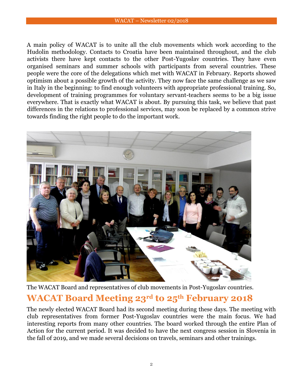A main policy of WACAT is to unite all the club movements which work according to the Hudolin methodology. Contacts to Croatia have been maintained throughout, and the club activists there have kept contacts to the other Post-Yugoslav countries. They have even organised seminars and summer schools with participants from several countries. These people were the core of the delegations which met with WACAT in February. Reports showed optimism about a possible growth of the activity. They now face the same challenge as we saw in Italy in the beginning: to find enough volunteers with appropriate professional training. So, development of training programmes for voluntary servant-teachers seems to be a big issue everywhere. That is exactly what WACAT is about. By pursuing this task, we believe that past differences in the relations to professional services, may soon be replaced by a common strive towards finding the right people to do the important work.



The WACAT Board and representatives of club movements in Post-Yugoslav countries.

### **WACAT Board Meeting 23rd to 25th February 2018**

The newly elected WACAT Board had its second meeting during these days. The meeting with club representatives from former Post-Yugoslav countries were the main focus. We had interesting reports from many other countries. The board worked through the entire Plan of Action for the current period. It was decided to have the next congress session in Slovenia in the fall of 2019, and we made several decisions on travels, seminars and other trainings.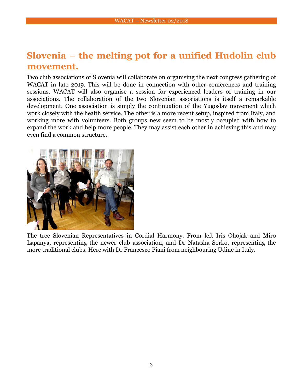## **Slovenia – the melting pot for a unified Hudolin club movement.**

Two club associations of Slovenia will collaborate on organising the next congress gathering of WACAT in late 2019. This will be done in connection with other conferences and training sessions. WACAT will also organise a session for experienced leaders of training in our associations. The collaboration of the two Slovenian associations is itself a remarkable development. One association is simply the continuation of the Yugoslav movement which work closely with the health service. The other is a more recent setup, inspired from Italy, and working more with volunteers. Both groups new seem to be mostly occupied with how to expand the work and help more people. They may assist each other in achieving this and may even find a common structure.



The tree Slovenian Representatives in Cordial Harmony. From left Iris Ohojak and Miro Lapanya, representing the newer club association, and Dr Natasha Sorko, representing the more traditional clubs. Here with Dr Francesco Piani from neighbouring Udine in Italy.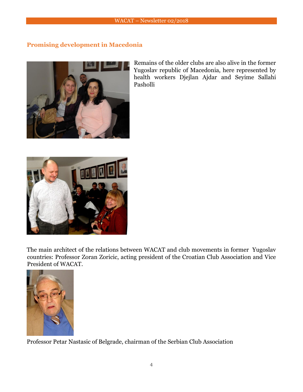#### **Promising development in Macedonia**



Remains of the older clubs are also alive in the former Yugoslav republic of Macedonia, here represented by health workers Djejlan Ajdar and Seyime Sallahi Pasholli



The main architect of the relations between WACAT and club movements in former Yugoslav countries: Professor Zoran Zoricic, acting president of the Croatian Club Association and Vice President of WACAT.



Professor Petar Nastasic of Belgrade, chairman of the Serbian Club Association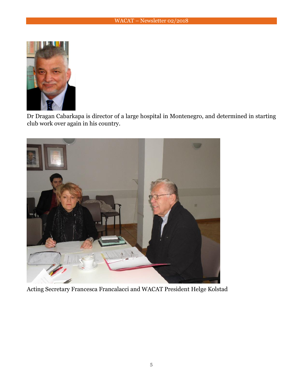

Dr Dragan Cabarkapa is director of a large hospital in Montenegro, and determined in starting club work over again in his country.



Acting Secretary Francesca Francalacci and WACAT President Helge Kolstad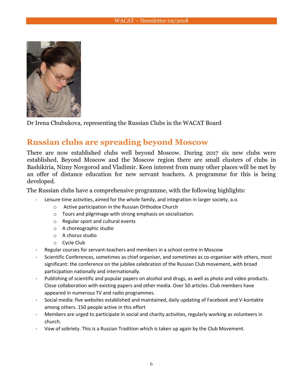

Dr Irena Chubukova, representing the Russian Clubs in the WACAT Board

#### **Russian clubs are spreading beyond Moscow**

There are now established clubs well beyond Moscow. During 2017 six new clubs were established. Beyond Moscow and the Moscow region there are small clusters of clubs in Bashikiria, Nizny Novgorod and Vladimir. Keen interest from many other places will be met by an offer of distance education for new servant teachers. A programme for this is being developed.

The Russian clubs have a comprehensive programme, with the following highlights:

- Leisure time activities, aimed for the whole family, and integration in larger society, a.o.
	- o Active participation in the Russian Orthodox Church
	- o Tours and pilgrimage with strong emphasis on socialization.
	- o Regular sport and cultural events
	- o A choreographic studio
	- o A chorus studio
	- o Cycle Club
- Regular courses for servant-teachers and members in a school centre in Moscow
- Scientific Conferences, sometimes as chief organiser, and sometimes as co-organiser with others, most significant: the conference on the jubilee celebration of the Russian Club movement, with broad participation nationally and internationally.
- Publishing of scientific and popular papers on alcohol and drugs, as well as photo and video products. Close collaboration with existing papers and other media. Over 50 articles. Club members have appeared in numerous TV and radio programmes.
- Social media: five websites established and maintained, daily updating of Facebook and V-kontakte among others. 150 people active in this effort
- Members are urged to participate in social and charity activities, regularly working as volunteers in church.
- Vow of sobriety. This is a Russian Tradition which is taken up again by the Club Movement.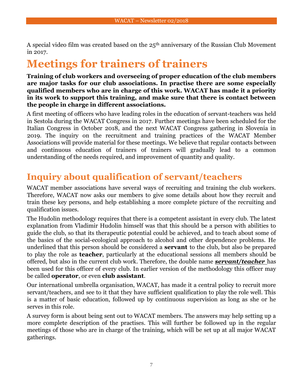A special video film was created based on the 25th anniversary of the Russian Club Movement in 2017.

## **Meetings for trainers of trainers**

**Training of club workers and overseeing of proper education of the club members are major tasks for our club associations. In practise there are some especially qualified members who are in charge of this work. WACAT has made it a priority in its work to support this training, and make sure that there is contact between the people in charge in different associations.** 

A first meeting of officers who have leading roles in the education of servant-teachers was held in Sestola during the WACAT Congress in 2017. Further meetings have been scheduled for the Italian Congress in October 2018, and the next WACAT Congress gathering in Slovenia in 2019. The inquiry on the recruitment and training practices of the WACAT Member Associations will provide material for these meetings. We believe that regular contacts between and continuous education of trainers of trainers will gradually lead to a common understanding of the needs required, and improvement of quantity and quality.

## **Inquiry about qualification of servant/teachers**

WACAT member associations have several ways of recruiting and training the club workers. Therefore, WACAT now asks our members to give some details about how they recruit and train these key persons, and help establishing a more complete picture of the recruiting and qualification issues.

The Hudolin methodology requires that there is a competent assistant in every club. The latest explanation from Vladimir Hudolin himself was that this should be a person with abilities to guide the club, so that its therapeutic potential could be achieved, and to teach about some of the basics of the social-ecological approach to alcohol and other dependence problems. He underlined that this person should be considered a **servant** to the club, but also be prepared to play the role as **teacher**, particularly at the educational sessions all members should be offered, but also in the current club work. Therefore, the double name *servant/teacher* has been used for this officer of every club. In earlier version of the methodology this officer may be called **operator**, or even **club assistant**.

Our international umbrella organisation, WACAT, has made it a central policy to recruit more servant/teachers, and see to it that they have sufficient qualification to play the role well. This is a matter of basic education, followed up by continuous supervision as long as she or he serves in this role.

A survey form is about being sent out to WACAT members. The answers may help setting up a more complete description of the practises. This will further be followed up in the regular meetings of those who are in charge of the training, which will be set up at all major WACAT gatherings.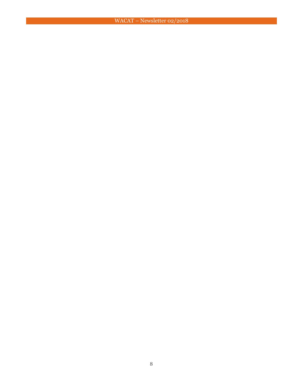WACAT – Newsletter 02/2018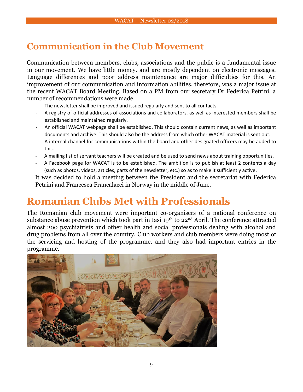## **Communication in the Club Movement**

Communication between members, clubs, associations and the public is a fundamental issue in our movement. We have little money. and are mostly dependent on electronic messages. Language differences and poor address maintenance are major difficulties for this. An improvement of our communication and information abilities, therefore, was a major issue at the recent WACAT Board Meeting. Based on a PM from our secretary Dr Federica Petrini, a number of recommendations were made.

- The newsletter shall be improved and issued regularly and sent to all contacts.
- A registry of official addresses of associations and collaborators, as well as interested members shall be established and maintained regularly.
- An official WACAT webpage shall be established. This should contain current news, as well as important documents and archive. This should also be the address from which other WACAT material is sent out.
- A internal channel for communications within the board and other designated officers may be added to this.
- A mailing list of servant teachers will be created and be used to send news about training opportunities.
- A Facebook page for WACAT is to be established. The ambition is to publish at least 2 contents a day (such as photos, videos, articles, parts of the newsletter, etc.) so as to make it sufficiently active.

It was decided to hold a meeting between the President and the secretariat with Federica Petrini and Francesca Francalacci in Norway in the middle of June.

## **Romanian Clubs Met with Professionals**

The Romanian club movement were important co-organisers of a national conference on substance abuse prevention which took part in Iasi 19th to 22nd April. The conference attracted almost 200 psychiatrists and other health and social professionals dealing with alcohol and drug problems from all over the country. Club workers and club members were doing most of the servicing and hosting of the programme, and they also had important entries in the programme.

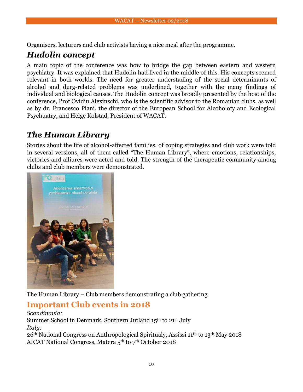Organisers, lecturers and club activists having a nice meal after the programme.

## *Hudolin concept*

A main topic of the conference was how to bridge the gap between eastern and western psychiatry. It was explained that Hudolin had lived in the middle of this. His concepts seemed relevant in both worlds. The need for greater understading of the social determinants of alcohol and durg-related problems was underlined, together with the many findings of individual and biological causes. The Hudolin concept was broadly presented by the host of the conference, Prof Ovidiu Alexinschi, who is the scientific advisor to the Romanian clubs, as well as by dr. Francesco Piani, the director of the European School for Alcoholofy and Ecological Psychuatry, and Helge Kolstad, President of WACAT.

## *The Human Library*

Stories about the life of alcohol-affected families, of coping strategies and club work were told in several versions, all of them called "The Human Library", where emotions, relationships, victories and ailiures were acted and told. The strength of the therapeutic community among clubs and club members were demonstrated.



The Human Library – Club members demonstrating a club gathering

#### **Important Club events in 2018**

*Scandinavia:* Summer School in Denmark, Southern Jutland 15th to 21st July *Italy:* 26th National Congress on Anthropological Spiritualy, Assissi 11th to 13th May 2018

AICAT National Congress, Matera  $5<sup>th</sup>$  to  $7<sup>th</sup>$  October 2018